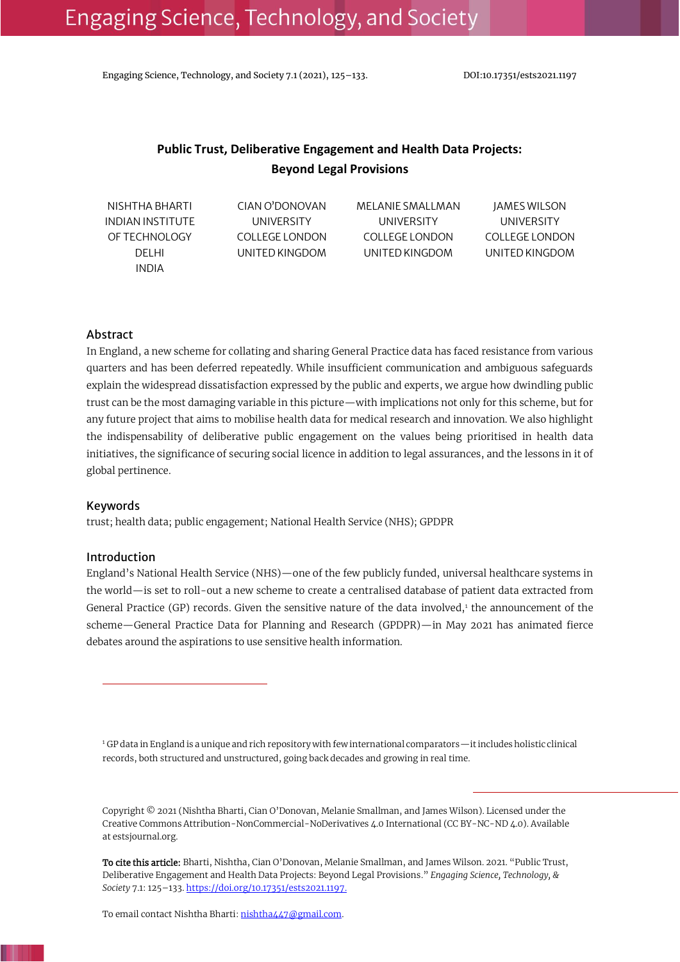Engaging Science, Technology, and Society 7.1 (2021), 125–133. DOI:10.17351/ests2021.1197

# **Public Trust, Deliberative Engagement and Health Data Projects: Beyond Legal Provisions**

| NISHTHA BHARTI   | CIAN O'DONOVAN  | MELANIE SMALLMAN | <b>JAMES WILSON</b> |
|------------------|-----------------|------------------|---------------------|
| INDIAN INSTITUTE | UNIVERSITY      | UNIVERSITY       | UNIVERSITY          |
| OF TECHNOLOGY    | COLLEGE LONDON  | COLLEGE LONDON   | COLLEGE LONDON      |
| DEL HI           | UNITED KINGDOM. | UNITED KINGDOM   | UNITED KINGDOM      |
| INDIA            |                 |                  |                     |

### Abstract

In England, a new scheme for collating and sharing General Practice data has faced resistance from various quarters and has been deferred repeatedly. While insufficient communication and ambiguous safeguards explain the widespread dissatisfaction expressed by the public and experts, we argue how dwindling public trust can be the most damaging variable in this picture—with implications not only for this scheme, but for any future project that aims to mobilise health data for medical research and innovation. We also highlight the indispensability of deliberative public engagement on the values being prioritised in health data initiatives, the significance of securing social licence in addition to legal assurances, and the lessons in it of global pertinence.

#### Keywords

trust; health data; public engagement; National Health Service (NHS); GPDPR

#### Introduction

England's National Health Service (NHS)—one of the few publicly funded, universal healthcare systems in the world—is set to roll-out a new scheme to create a centralised database of patient data extracted from General Practice (GP) records. Given the sensitive nature of the data involved,1 the announcement of the scheme—General Practice Data for Planning and Research (GPDPR)—in May 2021 has animated fierce debates around the aspirations to use sensitive health information.

<sup>1</sup> GP data in England is a unique and rich repository with few international comparators—it includes holistic clinical records, both structured and unstructured, going back decades and growing in real time.

Copyright © 2021 (Nishtha Bharti, Cian O'Donovan, Melanie Smallman, and James Wilson). Licensed under the Creative Commons Attribution-NonCommercial-NoDerivatives 4.0 International (CC BY-NC-ND 4.0). Available at estsjournal.org.

To cite this article: Bharti, Nishtha, Cian O'Donovan, Melanie Smallman, and James Wilson. 2021. "Public Trust, Deliberative Engagement and Health Data Projects: Beyond Legal Provisions." *Engaging Science, Technology, & Society* 7.1: 125–133[. https://doi.org/10.17351/ests2021.1197.](https://doi.org/10.17351/ests2021.1197)

To email contact Nishtha Bharti[: nishtha447@gmail.com.](mailto:nishtha447@gmail.com)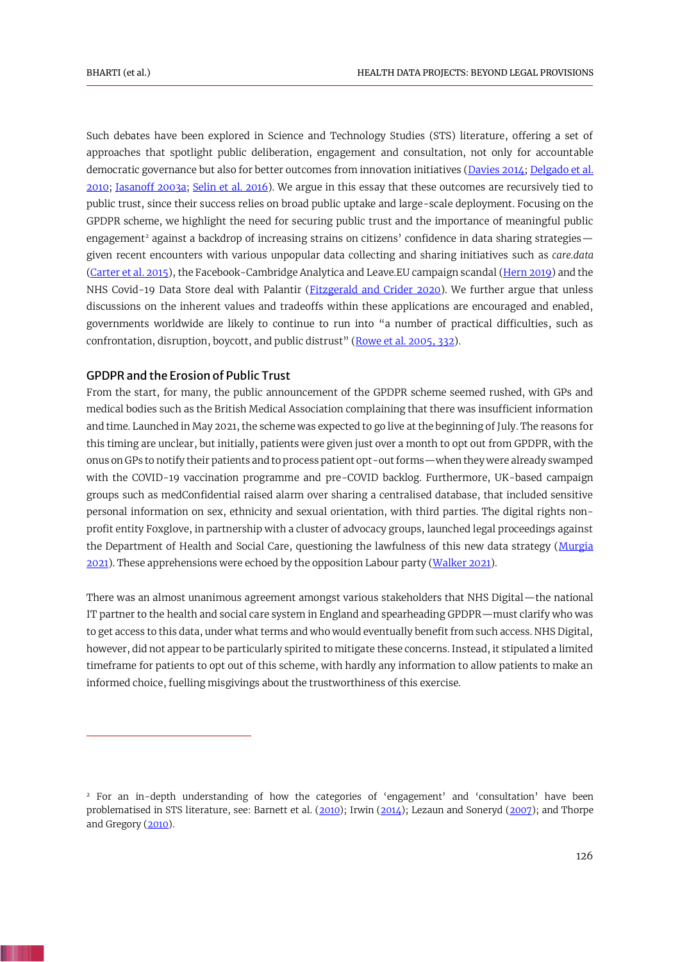<span id="page-1-11"></span><span id="page-1-7"></span><span id="page-1-3"></span><span id="page-1-2"></span>Such debates have been explored in Science and Technology Studies (STS) literature, offering a set of approaches that spotlight public deliberation, engagement and consultation, not only for accountable democratic governance but also for better outcomes from innovation initiatives [\(Davies 2014;](#page-6-0) [Delgado et al.](#page-6-1)  [2010;](#page-6-1) [Jasanoff 2003a;](#page-7-0) [Selin et al. 2016\)](#page-8-0). We argue in this essay that these outcomes are recursively tied to public trust, since their success relies on broad public uptake and large-scale deployment. Focusing on the GPDPR scheme, we highlight the need for securing public trust and the importance of meaningful public engagement<sup>2</sup> against a backdrop of increasing strains on citizens' confidence in data sharing strategies given recent encounters with various unpopular data collecting and sharing initiatives such as *care.data* [\(Carter et al. 2015\)](#page-5-0), the Facebook-Cambridge Analytica and Leave.EU campaign scandal [\(Hern 2019\)](#page-6-2) and the NHS Covid-19 Data Store deal with Palantir (*Fitzgerald and Crider 2020*). We further argue that unless discussions on the inherent values and tradeoffs within these applications are encouraged and enabled, governments worldwide are likely to continue to run into "a number of practical difficulties, such as confrontation, disruption, boycott, and public distrust" ([Rowe et al. 2005, 332\)](#page-8-1).

# <span id="page-1-10"></span><span id="page-1-5"></span><span id="page-1-4"></span><span id="page-1-1"></span>GPDPR and the Erosion of Public Trust

From the start, for many, the public announcement of the GPDPR scheme seemed rushed, with GPs and medical bodies such as the British Medical Association complaining that there was insufficient information and time. Launched in May 2021, the scheme was expected to go live at the beginning of July. The reasons for this timing are unclear, but initially, patients were given just over a month to opt out from GPDPR, with the onus on GPs to notify their patients and to process patient opt-out forms—when they were already swamped with the COVID-19 vaccination programme and pre-COVID backlog. Furthermore, UK-based campaign groups such as medConfidential raised alarm over sharing a centralised database, that included sensitive personal information on sex, ethnicity and sexual orientation, with third parties. The digital rights nonprofit entity Foxglove, in partnership with a cluster of advocacy groups, launched legal proceedings against the Department of Health and Social Care, questioning the lawfulness of this new data strategy (Murgia [2021\)](#page-7-1). These apprehensions were echoed by the opposition Labour party [\(Walker 2021\)](#page-8-2).

<span id="page-1-13"></span><span id="page-1-9"></span>There was an almost unanimous agreement amongst various stakeholders that NHS Digital—the national IT partner to the health and social care system in England and spearheading GPDPR—must clarify who was to get access to this data, under what terms and who would eventually benefit from such access. NHS Digital, however, did not appear to be particularly spirited to mitigate these concerns. Instead, it stipulated a limited timeframe for patients to opt out of this scheme, with hardly any information to allow patients to make an informed choice, fuelling misgivings about the trustworthiness of this exercise.

<span id="page-1-12"></span><span id="page-1-8"></span><span id="page-1-6"></span><span id="page-1-0"></span><sup>&</sup>lt;sup>2</sup> For an in-depth understanding of how the categories of 'engagement' and 'consultation' have been problematised in STS literature, see: Barnett et al. [\(2010\)](#page-5-1); Irwin [\(2014\)](#page-6-4); Lezaun and Soneryd [\(2007\)](#page-7-2); and Thorpe and Gregory [\(2010\)](#page-8-3).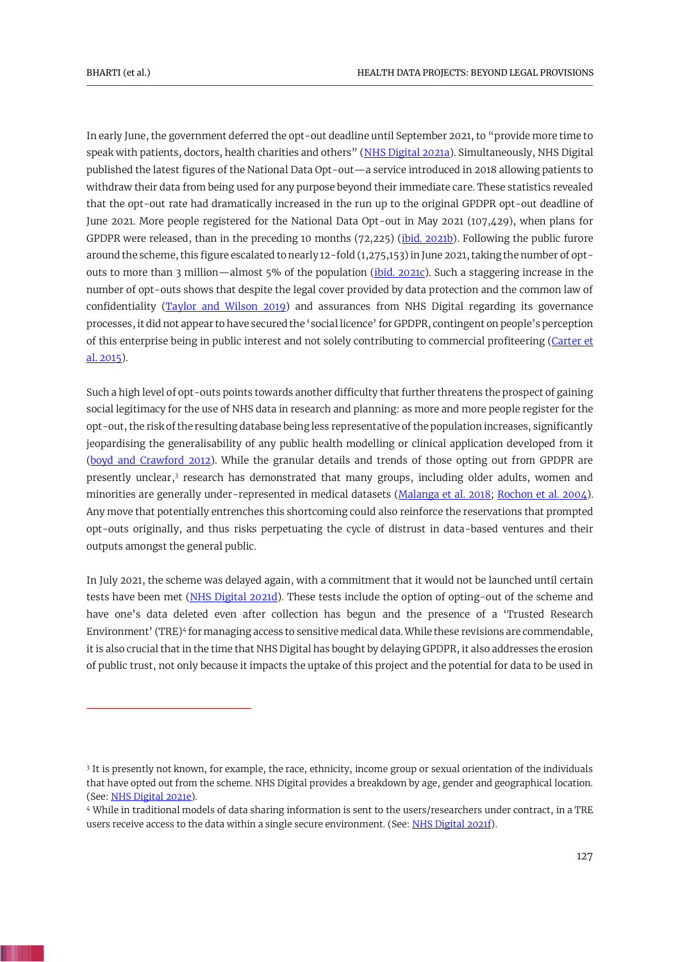<span id="page-2-3"></span><span id="page-2-2"></span>In early June, the government deferred the opt-out deadline until September 2021, to "provide more time to speak with patients, doctors, health charities and others" ([NHS Digital 2021a\)](#page-7-3). Simultaneously, NHS Digital published the latest figures of the National Data Opt-out—a service introduced in 2018 allowing patients to withdraw their data from being used for any purpose beyond their immediate care. These statistics revealed that the opt-out rate had dramatically increased in the run up to the original GPDPR opt-out deadline of June 2021. More people registered for the National Data Opt-out in May 2021 (107,429), when plans for GPDPR were released, than in the preceding 10 months (72,225) [\(ibid. 2021b\)](#page-7-4). Following the public furore around the scheme, this figure escalated to nearly 12-fold (1,275,153) in June 2021, taking the number of optouts to more than 3 million—almost 5% of the population [\(ibid. 2021c\)](#page-7-5). Such a staggering increase in the number of opt-outs shows that despite the legal cover provided by data protection and the common law of confidentiality [\(Taylor and Wilson 2019\)](#page-8-4) and assurances from NHS Digital regarding its governance processes, it did not appear to have secured the 'social licence' for GPDPR, contingent on people's perception of this enterprise being in public interest and not solely contributing to commercial profiteering [\(Carter et](#page-5-0)  [al. 2015\)](#page-5-0).

<span id="page-2-9"></span><span id="page-2-4"></span><span id="page-2-0"></span>Such a high level of opt-outs points towards another difficulty that further threatens the prospect of gaining social legitimacy for the use of NHS data in research and planning: as more and more people register for the opt-out, the risk of the resulting database being less representative of the population increases, significantly jeopardising the generalisability of any public health modelling or clinical application developed from it [\(boyd and Crawford 2012\)](#page-5-2). While the granular details and trends of those opting out from GPDPR are presently unclear,<sup>3</sup> research has demonstrated that many groups, including older adults, women and minorities are generally under-represented in medical datasets [\(Malanga et al. 2018;](#page-7-6) [Rochon et al. 2004\)](#page-8-5). Any move that potentially entrenches this shortcoming could also reinforce the reservations that prompted opt-outs originally, and thus risks perpetuating the cycle of distrust in data-based ventures and their outputs amongst the general public.

<span id="page-2-8"></span><span id="page-2-5"></span><span id="page-2-1"></span>In July 2021, the scheme was delayed again, with a commitment that it would not be launched until certain tests have been met [\(NHS Digital 2021d\)](#page-7-7). These tests include the option of opting-out of the scheme and have one's data deleted even after collection has begun and the presence of a 'Trusted Research Environment' (TRE)<sup>4</sup> for managing access to sensitive medical data. While these revisions are commendable, it is also crucial that in the time that NHS Digital has bought by delaying GPDPR, it also addresses the erosion of public trust, not only because it impacts the uptake of this project and the potential for data to be used in

<sup>3</sup> It is presently not known, for example, the race, ethnicity, income group or sexual orientation of the individuals that have opted out from the scheme. NHS Digital provides a breakdown by age, gender and geographical location. (See[: NHS Digital 2021e\)](#page-7-8).

<span id="page-2-7"></span><span id="page-2-6"></span><sup>4</sup> While in traditional models of data sharing information is sent to the users/researchers under contract, in a TRE users receive access to the data within a single secure environment. (See: [NHS Digital 2021f\)](#page-7-9).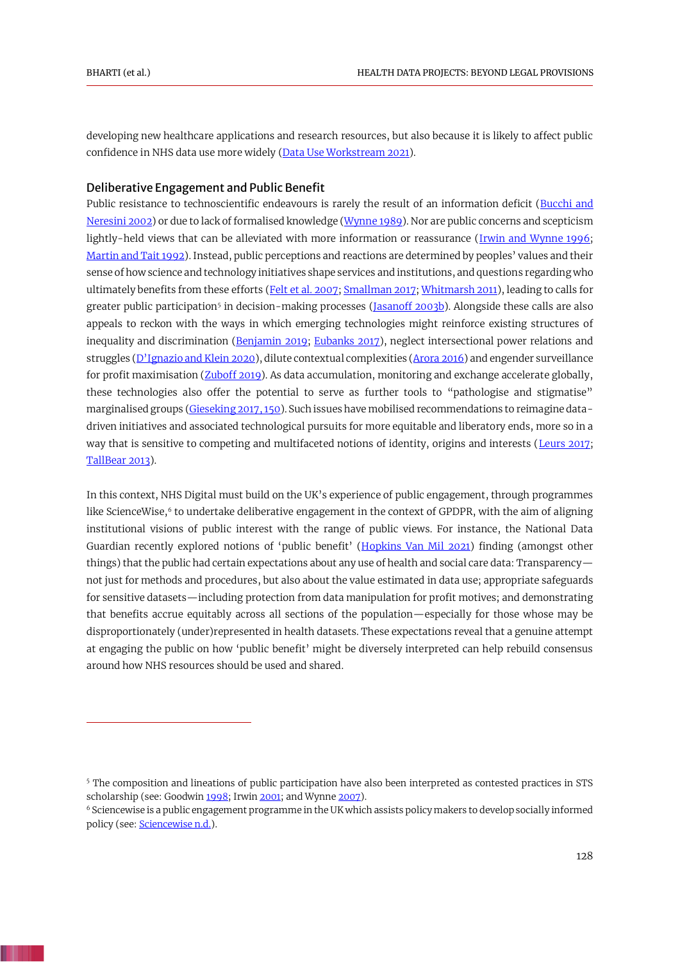<span id="page-3-3"></span>developing new healthcare applications and research resources, but also because it is likely to affect public confidence in NHS data use more widely [\(Data Use Workstream 2021\)](#page-6-5).

#### Deliberative Engagement and Public Benefit

<span id="page-3-19"></span><span id="page-3-18"></span><span id="page-3-16"></span><span id="page-3-14"></span><span id="page-3-12"></span><span id="page-3-11"></span><span id="page-3-6"></span><span id="page-3-5"></span><span id="page-3-2"></span><span id="page-3-1"></span>Public resistance to technoscientific endeavours is rarely the result of an information deficit (Bucchi and [Neresini 2002\)](#page-5-3) or due to lack of formalised knowledge [\(Wynne 1989\)](#page-8-6). Nor are public concerns and scepticism lightly-held views that can be alleviated with more information or reassurance [\(Irwin and Wynne 1996;](#page-6-6) [Martin and Tait 1992](#page-7-10)). Instead, public perceptions and reactions are determined by peoples' values and their sense of how science and technology initiatives shape services and institutions, and questions regarding who ultimately benefits from these efforts [\(Felt et al. 2007;](#page-6-7) [Smallman 2017;](#page-8-7) [Whitmarsh 2011\)](#page-8-8), leading to calls for greater public participation<sup>5</sup> in decision-making processes (<u>Jasanoff 2003b</u>). Alongside these calls are also appeals to reckon with the ways in which emerging technologies might reinforce existing structures of inequality and discrimination [\(Benjamin 2019;](#page-5-4) [Eubanks 2017\)](#page-6-8), neglect intersectional power relations and struggles (D'[Ignazio and Klein 2020\)](#page-6-9), dilute contextual complexities [\(Arora 2016\)](#page-5-5) and engender surveillance for profit maximisation [\(Zuboff 2019\)](#page-8-9). As data accumulation, monitoring and exchange accelerate globally, these technologies also offer the potential to serve as further tools to "pathologise and stigmatise" marginalised groups [\(Gieseking 2017, 150\)](#page-6-10). Such issues have mobilised recommendations to reimagine datadriven initiatives and associated technological pursuits for more equitable and liberatory ends, more so in a way that is sensitive to competing and multifaceted notions of identity, origins and interests [\(Leurs 2017;](#page-7-12) [TallBear 2013\)](#page-8-10).

<span id="page-3-21"></span><span id="page-3-17"></span><span id="page-3-13"></span><span id="page-3-9"></span><span id="page-3-7"></span><span id="page-3-4"></span><span id="page-3-0"></span>In this context, NHS Digital must build on the UK's experience of public engagement, through programmes like ScienceWise,<sup>6</sup> to undertake deliberative engagement in the context of GPDPR, with the aim of aligning institutional visions of public interest with the range of public views. For instance, the National Data Guardian recently explored notions of 'public benefit' ([Hopkins Van Mil 2021\)](#page-6-11) finding (amongst other things) that the public had certain expectations about any use of health and social care data: Transparency not just for methods and procedures, but also about the value estimated in data use; appropriate safeguards for sensitive datasets—including protection from data manipulation for profit motives; and demonstrating that benefits accrue equitably across all sections of the population—especially for those whose may be disproportionately (under)represented in health datasets. These expectations reveal that a genuine attempt at engaging the public on how 'public benefit' might be diversely interpreted can help rebuild consensus around how NHS resources should be used and shared.

<sup>5</sup> The composition and lineations of public participation have also been interpreted as contested practices in STS scholarship (see: Goodwi[n 1998;](#page-6-12) Irwi[n 2001;](#page-6-13) and Wynn[e 2007\)](#page-8-6).

<span id="page-3-20"></span><span id="page-3-15"></span><span id="page-3-10"></span><span id="page-3-8"></span><sup>6</sup> Sciencewise is a public engagement programme in the UK which assists policy makers to develop socially informed policy (see: [Sciencewise n.d.\)](#page-8-11).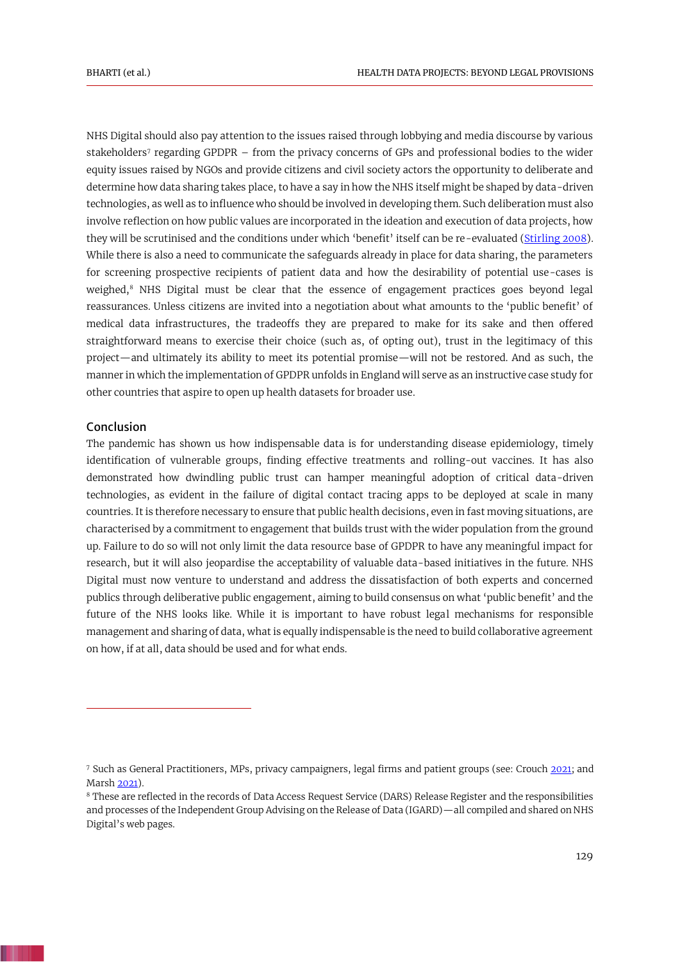<span id="page-4-2"></span>NHS Digital should also pay attention to the issues raised through lobbying and media discourse by various stakeholders<sup>7</sup> regarding GPDPR – from the privacy concerns of GPs and professional bodies to the wider equity issues raised by NGOs and provide citizens and civil society actors the opportunity to deliberate and determine how data sharing takes place, to have a say in how the NHS itself might be shaped by data-driven technologies, as well as to influence who should be involved in developing them. Such deliberation must also involve reflection on how public values are incorporated in the ideation and execution of data projects, how they will be scrutinised and the conditions under which 'benefit' itself can be re-evaluated [\(Stirling 2008\)](#page-8-12). While there is also a need to communicate the safeguards already in place for data sharing, the parameters for screening prospective recipients of patient data and how the desirability of potential use-cases is weighed,<sup>8</sup> NHS Digital must be clear that the essence of engagement practices goes beyond legal reassurances. Unless citizens are invited into a negotiation about what amounts to the 'public benefit' of medical data infrastructures, the tradeoffs they are prepared to make for its sake and then offered straightforward means to exercise their choice (such as, of opting out), trust in the legitimacy of this project—and ultimately its ability to meet its potential promise—will not be restored. And as such, the manner in which the implementation of GPDPR unfolds in England will serve as an instructive case study for other countries that aspire to open up health datasets for broader use.

# Conclusion

The pandemic has shown us how indispensable data is for understanding disease epidemiology, timely identification of vulnerable groups, finding effective treatments and rolling-out vaccines. It has also demonstrated how dwindling public trust can hamper meaningful adoption of critical data-driven technologies, as evident in the failure of digital contact tracing apps to be deployed at scale in many countries. It is therefore necessary to ensure that public health decisions, even in fast moving situations, are characterised by a commitment to engagement that builds trust with the wider population from the ground up. Failure to do so will not only limit the data resource base of GPDPR to have any meaningful impact for research, but it will also jeopardise the acceptability of valuable data-based initiatives in the future. NHS Digital must now venture to understand and address the dissatisfaction of both experts and concerned publics through deliberative public engagement, aiming to build consensus on what 'public benefit' and the future of the NHS looks like. While it is important to have robust legal mechanisms for responsible management and sharing of data, what is equally indispensable is the need to build collaborative agreement on how, if at all, data should be used and for what ends.

<span id="page-4-0"></span><sup>7</sup> Such as General Practitioners, MPs, privacy campaigners, legal firms and patient groups (see: Crouch [2021;](#page-6-14) and Mars[h 2021\)](#page-7-13).

<span id="page-4-1"></span><sup>8</sup> These are reflected in the records of Data Access Request Service (DARS) Release Register and the responsibilities and processes of the Independent Group Advising on the Release of Data (IGARD)—all compiled and shared on NHS Digital's web pages.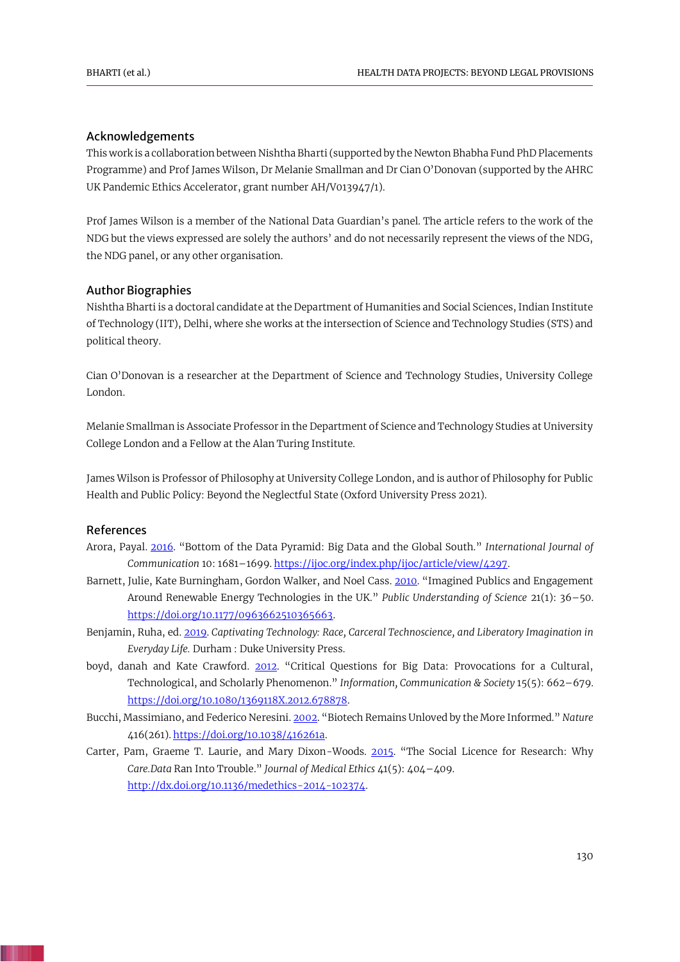# Acknowledgements

This work is a collaboration between Nishtha Bharti (supported by the Newton Bhabha Fund PhD Placements Programme) and Prof James Wilson, Dr Melanie Smallman and Dr Cian O'Donovan (supported by the AHRC UK Pandemic Ethics Accelerator, grant number AH/V013947/1).

Prof James Wilson is a member of the National Data Guardian's panel. The article refers to the work of the NDG but the views expressed are solely the authors' and do not necessarily represent the views of the NDG, the NDG panel, or any other organisation.

#### Author Biographies

Nishtha Bharti is a doctoral candidate at the Department of Humanities and Social Sciences, Indian Institute of Technology (IIT), Delhi, where she works at the intersection of Science and Technology Studies (STS) and political theory.

Cian O'Donovan is a researcher at the Department of Science and Technology Studies, University College London.

Melanie Smallman is Associate Professor in the Department of Science and Technology Studies at University College London and a Fellow at the Alan Turing Institute.

James Wilson is Professor of Philosophy at University College London, and is author of Philosophy for Public Health and Public Policy: Beyond the Neglectful State (Oxford University Press 2021).

# References

- <span id="page-5-5"></span>Arora, Payal. [2016](#page-3-0). "Bottom of the Data Pyramid: Big Data and the Global South." *International Journal of Communication* 10: 1681–1699[. https://ijoc.org/index.php/ijoc/article/view/4297.](https://ijoc.org/index.php/ijoc/article/view/4297)
- <span id="page-5-1"></span>Barnett, Julie, Kate Burningham, Gordon Walker, and Noel Cass[. 2010](#page-1-0). "Imagined Publics and Engagement Around Renewable Energy Technologies in the UK." *Public Understanding of Science* 21(1): 36–50. [https://doi.org/10.1177/0963662510365663.](https://doi.org/10.1177/0963662510365663)
- <span id="page-5-4"></span>Benjamin, Ruha, ed[. 2019.](#page-3-1) *Captivating Technology: Race, Carceral Technoscience, and Liberatory Imagination in Everyday Life.* Durham : Duke University Press.
- <span id="page-5-2"></span>boyd, danah and Kate Crawford. [2012](#page-2-0). "Critical Questions for Big Data: Provocations for a Cultural, Technological, and Scholarly Phenomenon." *Information, Communication & Society* 15(5): 662–679. [https://doi.org/10.1080/1369118X.2012.678878.](https://doi.org/10.1080/1369118X.2012.678878)
- <span id="page-5-3"></span>Bucchi, Massimiano, and Federico Neresini[. 2002](#page-3-2). "Biotech Remains Unloved by the More Informed." *Nature*  416(261). [https://doi.org/10.1038/416261a.](https://doi.org/10.1038/416261a)
- <span id="page-5-0"></span>Carter, Pam, Graeme T. Laurie, and Mary Dixon-Woods. [2015](#page-1-1). "The Social Licence for Research: Why *Care.Data* Ran Into Trouble." *Journal of Medical Ethics* 41(5): 404–409. [http://dx.doi.org/10.1136/medethics-2014-102374.](http://dx.doi.org/10.1136/medethics-2014-102374)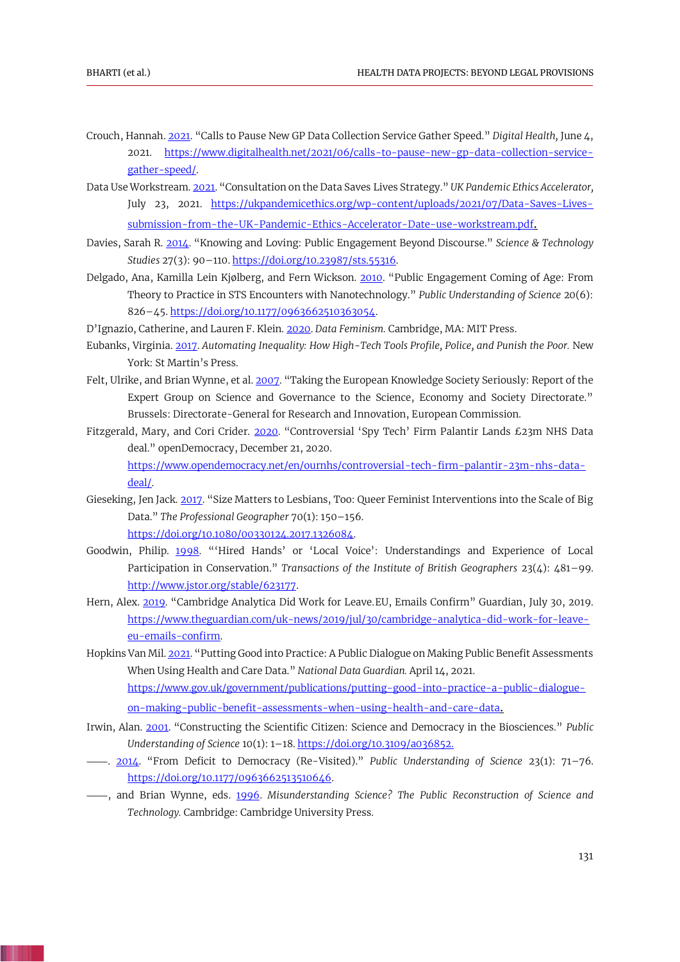- <span id="page-6-14"></span>Crouch, Hannah[. 2021](#page-4-0). "Calls to Pause New GP Data Collection Service Gather Speed." *Digital Health,* June 4, 2021. [https://www.digitalhealth.net/2021/06/calls-to-pause-new-gp-data-collection-service](https://www.digitalhealth.net/2021/06/calls-to-pause-new-gp-data-collection-service-gather-speed/)[gather-speed/.](https://www.digitalhealth.net/2021/06/calls-to-pause-new-gp-data-collection-service-gather-speed/)
- <span id="page-6-5"></span>Data Use Workstream[. 2021](#page-3-3). "Consultation on the Data Saves Lives Strategy." *UK Pandemic Ethics Accelerator,* July 23, 2021. [https://ukpandemicethics.org/wp-content/uploads/2021/07/Data-Saves-Lives](https://ukpandemicethics.org/wp-content/uploads/2021/07/Data-Saves-Lives-submission-from-the-UK-Pandemic-Ethics-Accelerator-Date-use-workstream.pdf)[submission-from-the-UK-Pandemic-Ethics-Accelerator-Date-use-workstream.pdf](https://ukpandemicethics.org/wp-content/uploads/2021/07/Data-Saves-Lives-submission-from-the-UK-Pandemic-Ethics-Accelerator-Date-use-workstream.pdf).
- <span id="page-6-0"></span>Davies, Sarah R. [2014](#page-1-2). "Knowing and Loving: Public Engagement Beyond Discourse." *Science & Technology Studies* 27(3): 90–110[. https://doi.org/10.23987/sts.55316.](https://doi.org/10.23987/sts.55316)
- <span id="page-6-1"></span>Delgado, Ana, Kamilla Lein Kjølberg, and Fern Wickson. [2010](#page-1-3). "Public Engagement Coming of Age: From Theory to Practice in STS Encounters with Nanotechnology." *Public Understanding of Science* 20(6): 826–45[. https://doi.org/10.1177/0963662510363054.](https://doi.org/10.1177/0963662510363054)

<span id="page-6-9"></span>D'Ignazio, Catherine, and Lauren F. Klein. [2020.](#page-3-4) *Data Feminism.* Cambridge, MA: MIT Press.

- <span id="page-6-8"></span>Eubanks, Virginia. [2017.](#page-3-5) *Automating Inequality: How High-Tech Tools Profile, Police, and Punish the Poor.* New York: St Martin's Press.
- <span id="page-6-7"></span>Felt, Ulrike, and Brian Wynne, et al. [2007](#page-3-6). "Taking the European Knowledge Society Seriously: Report of the Expert Group on Science and Governance to the Science, Economy and Society Directorate." Brussels: Directorate-General for Research and Innovation, European Commission.
- <span id="page-6-3"></span>Fitzgerald, Mary, and Cori Crider. [2020](#page-1-4). "Controversial 'Spy Tech' Firm Palantir Lands £23m NHS Data deal." openDemocracy, December 21, 2020. [https://www.opendemocracy.net/en/ournhs/controversial-tech-firm-palantir-23m-nhs-data](https://www.opendemocracy.net/en/ournhs/controversial-tech-firm-palantir-23m-nhs-data-deal/)[deal/.](https://www.opendemocracy.net/en/ournhs/controversial-tech-firm-palantir-23m-nhs-data-deal/)
- <span id="page-6-10"></span>Gieseking, Jen Jack. [2017](#page-3-7). "Size Matters to Lesbians, Too: Queer Feminist Interventions into the Scale of Big Data." *The Professional Geographer* 70(1): 150–156. [https://doi.org/10.1080/00330124.2017.1326084.](https://doi.org/10.1080/00330124.2017.1326084)
- <span id="page-6-12"></span>Goodwin, Philip. [1998](#page-3-8). "'Hired Hands' or 'Local Voice': Understandings and Experience of Local Participation in Conservation." *Transactions of the Institute of British Geographers* 23(4): 481–99. [http://www.jstor.org/stable/623177.](http://www.jstor.org/stable/623177)
- <span id="page-6-2"></span>Hern, Alex. [2019](#page-1-5). "Cambridge Analytica Did Work for Leave. EU, Emails Confirm" Guardian, July 30, 2019. [https://www.theguardian.com/uk-news/2019/jul/30/cambridge-analytica-did-work-for-leave](https://www.theguardian.com/uk-news/2019/jul/30/cambridge-analytica-did-work-for-leave-eu-emails-confirm)[eu-emails-confirm.](https://www.theguardian.com/uk-news/2019/jul/30/cambridge-analytica-did-work-for-leave-eu-emails-confirm)
- Hopkins Van Mil[. 2021](#page-3-9). "Putting Good into Practice: A Public Dialogue on Making Public Benefit Assessments When Using Health and Care Data." *National Data Guardian.* April 14, 2021. [https://www.gov.uk/government/publications/putting-good-into-practice-a-public-dialogue-](https://www.gov.uk/government/publications/putting-good-into-practice-a-public-dialogue-on-making-public-benefit-assessments-when-using-health-and-care-data)

<span id="page-6-13"></span><span id="page-6-11"></span><span id="page-6-6"></span>[on-making-public-benefit-assessments-when-using-health-and-care-data](https://www.gov.uk/government/publications/putting-good-into-practice-a-public-dialogue-on-making-public-benefit-assessments-when-using-health-and-care-data).

- Irwin, Alan. [2001](#page-3-10). "Constructing the Scientific Citizen: Science and Democracy in the Biosciences." *Public Understanding of Science* 10(1): 1–18[. https://doi.org/10.3109/a036852.](https://doi.org/10.3109/a036852)
- <span id="page-6-4"></span>⸻. [2014](#page-1-6). "From Deficit to Democracy (Re-Visited)." *Public Understanding of Science* 23(1): 71–76. [https://doi.org/10.1177/0963662513510646.](https://doi.org/10.1177/0963662513510646)
- ⸻, and Brian Wynne, eds. [1996.](#page-3-11) *Misunderstanding Science? The Public Reconstruction of Science and Technology.* Cambridge: Cambridge University Press.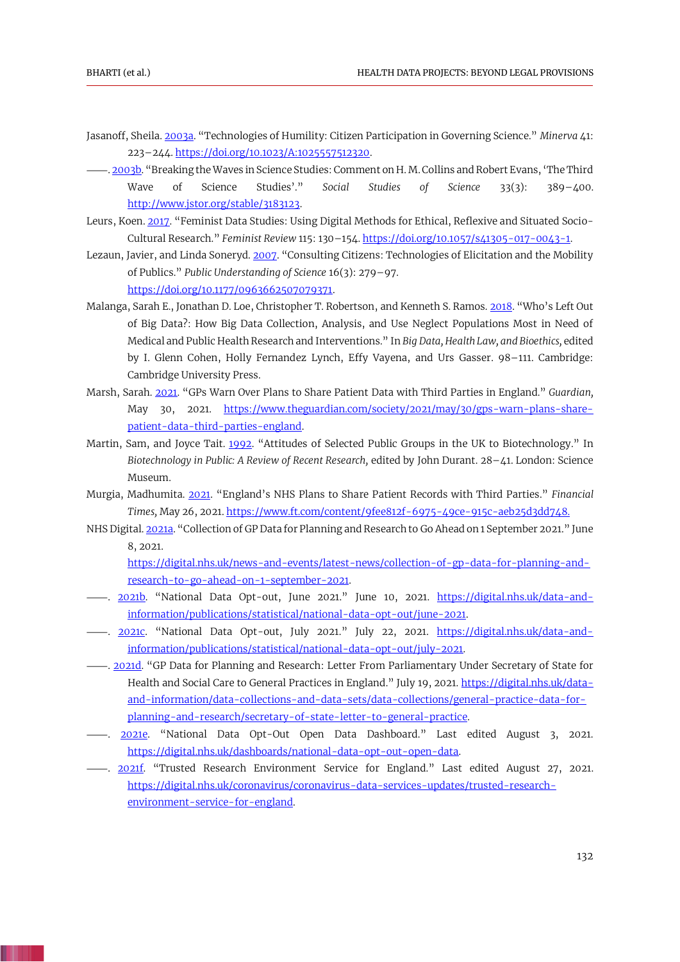- <span id="page-7-0"></span>Jasanoff, Sheila[. 2003a](#page-1-7). "Technologies of Humility: Citizen Participation in Governing Science." *Minerva* 41: 223–244[. https://doi.org/10.1023/A:1025557512320.](https://doi.org/10.1023/A:1025557512320)
- <span id="page-7-11"></span>⸻[. 2003b](#page-3-12). "Breaking the Waves in Science Studies: Comment on H. M. Collins and Robert Evans, 'The Third Wave of Science Studies'." *Social Studies of Science* 33(3): 389–400. [http://www.jstor.org/stable/3183123.](http://www.jstor.org/stable/3183123)
- <span id="page-7-12"></span>Leurs, Koen[. 2017](#page-3-13). "Feminist Data Studies: Using Digital Methods for Ethical, Reflexive and Situated Socio-Cultural Research." *Feminist Review* 115: 130–154[. https://doi.org/10.1057/s41305-017-0043-1.](https://doi.org/10.1057/s41305-017-0043-1)
- <span id="page-7-2"></span>Lezaun, Javier, and Linda Soneryd. [2007](#page-1-8). "Consulting Citizens: Technologies of Elicitation and the Mobility of Publics." *Public Understanding of Science* 16(3): 279–97. [https://doi.org/10.1177/0963662507079371.](https://doi.org/10.1177/0963662507079371)
- <span id="page-7-6"></span>Malanga, Sarah E., Jonathan D. Loe, Christopher T. Robertson, and Kenneth S. Ramos. [2018](#page-2-1). "Who's Left Out of Big Data?: How Big Data Collection, Analysis, and Use Neglect Populations Most in Need of Medical and Public Health Research and Interventions." In *Big Data, Health Law, and Bioethics,* edited by I. Glenn Cohen, Holly Fernandez Lynch, Effy Vayena, and Urs Gasser. 98–111. Cambridge: Cambridge University Press.
- <span id="page-7-13"></span>Marsh, Sarah. [2021](#page-4-1). "GPs Warn Over Plans to Share Patient Data with Third Parties in England." *Guardian,* May 30, 2021. [https://www.theguardian.com/society/2021/may/30/gps-warn-plans-share](https://www.theguardian.com/society/2021/may/30/gps-warn-plans-share-patient-data-third-parties-england)[patient-data-third-parties-england.](https://www.theguardian.com/society/2021/may/30/gps-warn-plans-share-patient-data-third-parties-england)
- <span id="page-7-10"></span>Martin, Sam, and Joyce Tait. [1992](#page-3-14). "Attitudes of Selected Public Groups in the UK to Biotechnology." In *Biotechnology in Public: A Review of Recent Research,* edited by John Durant. 28–41. London: Science Museum.
- Murgia, Madhumita. [2021](#page-1-9). "England's NHS Plans to Share Patient Records with Third Parties." *Financial Times,* May 26, 2021[. https://www.ft.com/content/9fee812f-6975-49ce-915c-aeb25d3dd748.](https://www.ft.com/content/9fee812f-6975-49ce-915c-aeb25d3dd748)
- NHS Digital[. 2021a](#page-2-2). "Collection of GP Data for Planning and Research to Go Ahead on 1 September 2021." June 8, 2021.

<span id="page-7-3"></span><span id="page-7-1"></span>[https://digital.nhs.uk/news-and-events/latest-news/collection-of-gp-data-for-planning-and](https://digital.nhs.uk/news-and-events/latest-news/collection-of-gp-data-for-planning-and-research-to-go-ahead-on-1-september-2021)[research-to-go-ahead-on-1-september-2021.](https://digital.nhs.uk/news-and-events/latest-news/collection-of-gp-data-for-planning-and-research-to-go-ahead-on-1-september-2021)

- <span id="page-7-4"></span>⸻. [2021b](#page-2-3). "National Data Opt-out, June 2021." June 10, 2021. [https://digital.nhs.uk/data-and](https://digital.nhs.uk/data-and-information/publications/statistical/national-data-opt-out/june-2021)[information/publications/statistical/national-data-opt-out/june-2021.](https://digital.nhs.uk/data-and-information/publications/statistical/national-data-opt-out/june-2021)
- <span id="page-7-5"></span>⸻. [2021c](#page-2-4). "National Data Opt-out, July 2021." July 22, 2021. [https://digital.nhs.uk/data-and](https://digital.nhs.uk/data-and-information/publications/statistical/national-data-opt-out/july-2021)[information/publications/statistical/national-data-opt-out/july-2021.](https://digital.nhs.uk/data-and-information/publications/statistical/national-data-opt-out/july-2021)
- <span id="page-7-7"></span><sup>2021</sup> [2021d](#page-2-5). "GP Data for Planning and Research: Letter From Parliamentary Under Secretary of State for Health and Social Care to General Practices in England." July 19, 2021. [https://digital.nhs.uk/data](https://digital.nhs.uk/data-and-information/data-collections-and-data-sets/data-collections/general-practice-data-for-planning-and-research/secretary-of-state-letter-to-general-practice)[and-information/data-collections-and-data-sets/data-collections/general-practice-data-for](https://digital.nhs.uk/data-and-information/data-collections-and-data-sets/data-collections/general-practice-data-for-planning-and-research/secretary-of-state-letter-to-general-practice)[planning-and-research/secretary-of-state-letter-to-general-practice.](https://digital.nhs.uk/data-and-information/data-collections-and-data-sets/data-collections/general-practice-data-for-planning-and-research/secretary-of-state-letter-to-general-practice)
- <span id="page-7-8"></span>⸻. [2021e](#page-2-6). "National Data Opt-Out Open Data Dashboard." Last edited August 3, 2021. [https://digital.nhs.uk/dashboards/national-data-opt-out-open-data.](https://digital.nhs.uk/dashboards/national-data-opt-out-open-data)
- <span id="page-7-9"></span>⸻. [2021f](#page-2-7). "Trusted Research Environment Service for England." Last edited August 27, 2021. [https://digital.nhs.uk/coronavirus/coronavirus-data-services-updates/trusted-research](https://digital.nhs.uk/coronavirus/coronavirus-data-services-updates/trusted-research-environment-service-for-england)[environment-service-for-england.](https://digital.nhs.uk/coronavirus/coronavirus-data-services-updates/trusted-research-environment-service-for-england)